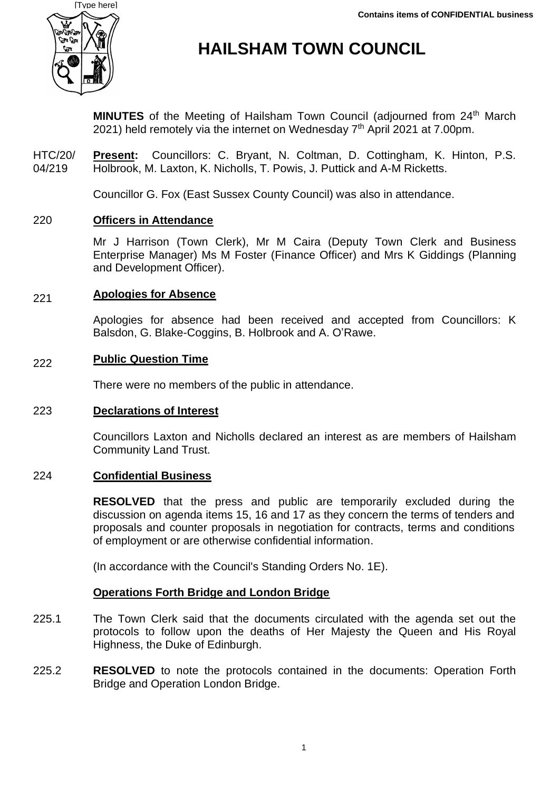

# **HAILSHAM TOWN COUNCIL**

**MINUTES** of the Meeting of Hailsham Town Council (adjourned from 24<sup>th</sup> March 2021) held remotely via the internet on Wednesday 7<sup>th</sup> April 2021 at 7.00pm.

HTC/20/ 04/219 **Present:** Councillors: C. Bryant, N. Coltman, D. Cottingham, K. Hinton, P.S. Holbrook, M. Laxton, K. Nicholls, T. Powis, J. Puttick and A-M Ricketts.

Councillor G. Fox (East Sussex County Council) was also in attendance.

#### 220 **Officers in Attendance**

Mr J Harrison (Town Clerk), Mr M Caira (Deputy Town Clerk and Business Enterprise Manager) Ms M Foster (Finance Officer) and Mrs K Giddings (Planning and Development Officer).

#### 221 **Apologies for Absence**

Apologies for absence had been received and accepted from Councillors: K Balsdon, G. Blake-Coggins, B. Holbrook and A. O'Rawe.

#### 222 **Public Question Time**

There were no members of the public in attendance.

### 223 **Declarations of Interest**

Councillors Laxton and Nicholls declared an interest as are members of Hailsham Community Land Trust.

### 224 **Confidential Business**

**RESOLVED** that the press and public are temporarily excluded during the discussion on agenda items 15, 16 and 17 as they concern the terms of tenders and proposals and counter proposals in negotiation for contracts, terms and conditions of employment or are otherwise confidential information.

(In accordance with the Council's Standing Orders No. 1E).

### **Operations Forth Bridge and London Bridge**

- 225.1 The Town Clerk said that the documents circulated with the agenda set out the protocols to follow upon the deaths of Her Majesty the Queen and His Royal Highness, the Duke of Edinburgh.
- 225.2 **RESOLVED** to note the protocols contained in the documents: Operation Forth Bridge and Operation London Bridge.